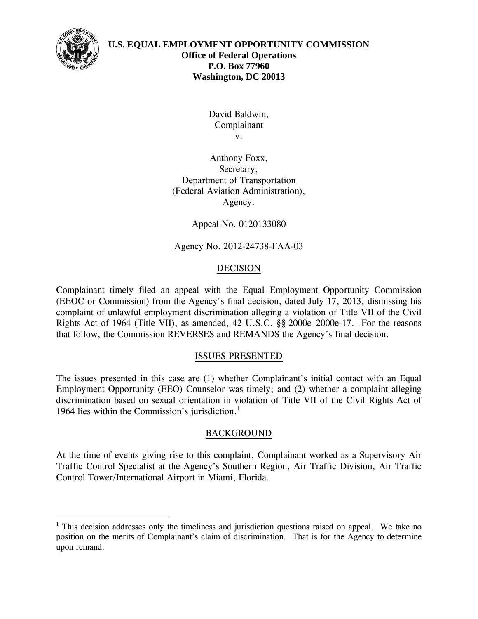

David Baldwin, Complainant v.

Anthony Foxx, Secretary, Department of Transportation (Federal Aviation Administration), Agency.

Appeal No. 0120133080

Agency No. 2012-24738-FAA-03

# DECISION

Complainant timely filed an appeal with the Equal Employment Opportunity Commission (EEOC or Commission) from the Agency's final decision, dated July 17, 2013, dismissing his complaint of unlawful employment discrimination alleging a violation of Title VII of the Civil Rights Act of 1964 (Title VII), as amended, 42 U.S.C. §§ 2000e–2000e-17. For the reasons that follow, the Commission REVERSES and REMANDS the Agency's final decision.

## ISSUES PRESENTED

The issues presented in this case are (1) whether Complainant's initial contact with an Equal Employment Opportunity (EEO) Counselor was timely; and (2) whether a complaint alleging discrimination based on sexual orientation in violation of Title VII of the Civil Rights Act of [1](#page-0-0)964 lies within the Commission's jurisdiction. $<sup>1</sup>$ </sup>

## BACKGROUND

At the time of events giving rise to this complaint, Complainant worked as a Supervisory Air Traffic Control Specialist at the Agency's Southern Region, Air Traffic Division, Air Traffic Control Tower/International Airport in Miami, Florida.

<span id="page-0-0"></span> $\overline{a}$  $1$  This decision addresses only the timeliness and jurisdiction questions raised on appeal. We take no position on the merits of Complainant's claim of discrimination. That is for the Agency to determine upon remand.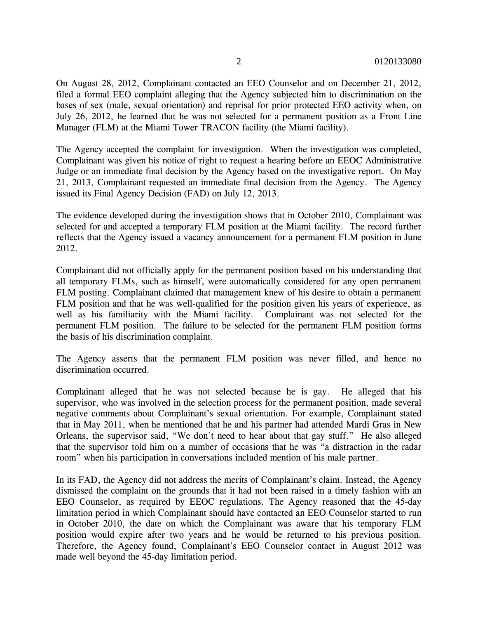On August 28, 2012, Complainant contacted an EEO Counselor and on December 21, 2012, filed a formal EEO complaint alleging that the Agency subjected him to discrimination on the bases of sex (male, sexual orientation) and reprisal for prior protected EEO activity when, on July 26, 2012, he learned that he was not selected for a permanent position as a Front Line Manager (FLM) at the Miami Tower TRACON facility (the Miami facility).

The Agency accepted the complaint for investigation. When the investigation was completed, Complainant was given his notice of right to request a hearing before an EEOC Administrative Judge or an immediate final decision by the Agency based on the investigative report. On May 21, 2013, Complainant requested an immediate final decision from the Agency. The Agency issued its Final Agency Decision (FAD) on July 12, 2013.

The evidence developed during the investigation shows that in October 2010, Complainant was selected for and accepted a temporary FLM position at the Miami facility. The record further reflects that the Agency issued a vacancy announcement for a permanent FLM position in June 2012.

Complainant did not officially apply for the permanent position based on his understanding that all temporary FLMs, such as himself, were automatically considered for any open permanent FLM posting. Complainant claimed that management knew of his desire to obtain a permanent FLM position and that he was well-qualified for the position given his years of experience, as well as his familiarity with the Miami facility. Complainant was not selected for the permanent FLM position. The failure to be selected for the permanent FLM position forms the basis of his discrimination complaint.

The Agency asserts that the permanent FLM position was never filled, and hence no discrimination occurred.

Complainant alleged that he was not selected because he is gay. He alleged that his supervisor, who was involved in the selection process for the permanent position, made several negative comments about Complainant's sexual orientation. For example, Complainant stated that in May 2011, when he mentioned that he and his partner had attended Mardi Gras in New Orleans, the supervisor said, "We don't need to hear about that gay stuff." He also alleged that the supervisor told him on a number of occasions that he was "a distraction in the radar room" when his participation in conversations included mention of his male partner.

In its FAD, the Agency did not address the merits of Complainant's claim. Instead, the Agency dismissed the complaint on the grounds that it had not been raised in a timely fashion with an EEO Counselor, as required by EEOC regulations. The Agency reasoned that the 45-day limitation period in which Complainant should have contacted an EEO Counselor started to run in October 2010, the date on which the Complainant was aware that his temporary FLM position would expire after two years and he would be returned to his previous position. Therefore, the Agency found, Complainant's EEO Counselor contact in August 2012 was made well beyond the 45-day limitation period.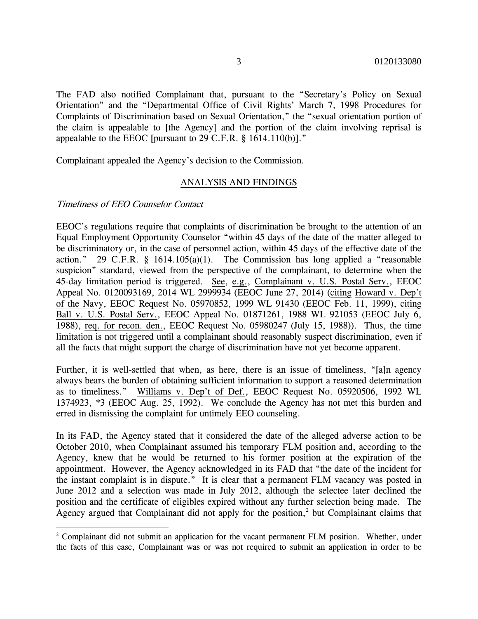The FAD also notified Complainant that, pursuant to the "Secretary's Policy on Sexual Orientation" and the "Departmental Office of Civil Rights' March 7, 1998 Procedures for Complaints of Discrimination based on Sexual Orientation," the "sexual orientation portion of the claim is appealable to [the Agency] and the portion of the claim involving reprisal is appealable to the EEOC [pursuant to 29 C.F.R. § 1614.110(b)]."

Complainant appealed the Agency's decision to the Commission.

## ANALYSIS AND FINDINGS

#### Timeliness of EEO Counselor Contact

 $\overline{a}$ 

EEOC's regulations require that complaints of discrimination be brought to the attention of an Equal Employment Opportunity Counselor "within 45 days of the date of the matter alleged to be discriminatory or, in the case of personnel action, within 45 days of the effective date of the action." 29 C.F.R. § 1614.105(a)(1). The Commission has long applied a "reasonable suspicion" standard, viewed from the perspective of the complainant, to determine when the 45-day limitation period is triggered. See, e.g., Complainant v. U.S. Postal Serv., EEOC Appeal No. 0120093169, 2014 WL 2999934 (EEOC June 27, 2014) (citing Howard v. Dep't of the Navy, EEOC Request No. 05970852, 1999 WL 91430 (EEOC Feb. 11, 1999), citing Ball v. U.S. Postal Serv., EEOC Appeal No. 01871261, 1988 WL 921053 (EEOC July 6, 1988), req. for recon. den., EEOC Request No. 05980247 (July 15, 1988)). Thus, the time limitation is not triggered until a complainant should reasonably suspect discrimination, even if all the facts that might support the charge of discrimination have not yet become apparent.

Further, it is well-settled that when, as here, there is an issue of timeliness, "[a]n agency always bears the burden of obtaining sufficient information to support a reasoned determination as to timeliness." Williams v. Dep't of Def., EEOC Request No. 05920506, 1992 WL 1374923, \*3 (EEOC Aug. 25, 1992). We conclude the Agency has not met this burden and erred in dismissing the complaint for untimely EEO counseling.

In its FAD, the Agency stated that it considered the date of the alleged adverse action to be October 2010, when Complainant assumed his temporary FLM position and, according to the Agency, knew that he would be returned to his former position at the expiration of the appointment. However, the Agency acknowledged in its FAD that "the date of the incident for the instant complaint is in dispute." It is clear that a permanent FLM vacancy was posted in June 2012 and a selection was made in July 2012, although the selectee later declined the position and the certificate of eligibles expired without any further selection being made. The Agency argued that Complainant did not apply for the position, $<sup>2</sup>$  $<sup>2</sup>$  $<sup>2</sup>$  but Complainant claims that</sup>

<span id="page-2-0"></span><sup>&</sup>lt;sup>2</sup> Complainant did not submit an application for the vacant permanent FLM position. Whether, under the facts of this case, Complainant was or was not required to submit an application in order to be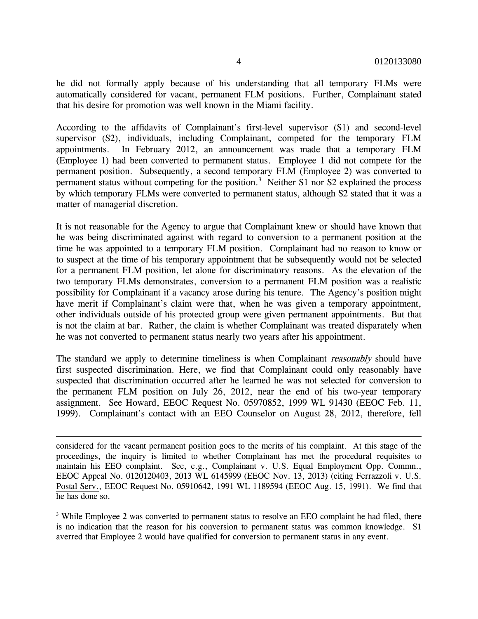he did not formally apply because of his understanding that all temporary FLMs were automatically considered for vacant, permanent FLM positions. Further, Complainant stated that his desire for promotion was well known in the Miami facility.

According to the affidavits of Complainant's first-level supervisor (S1) and second-level supervisor (S2), individuals, including Complainant, competed for the temporary FLM appointments. In February 2012, an announcement was made that a temporary FLM (Employee 1) had been converted to permanent status. Employee 1 did not compete for the permanent position. Subsequently, a second temporary FLM (Employee 2) was converted to permanent status without competing for the position.<sup>[3](#page-3-0)</sup> Neither S1 nor S2 explained the process by which temporary FLMs were converted to permanent status, although S2 stated that it was a matter of managerial discretion.

It is not reasonable for the Agency to argue that Complainant knew or should have known that he was being discriminated against with regard to conversion to a permanent position at the time he was appointed to a temporary FLM position. Complainant had no reason to know or to suspect at the time of his temporary appointment that he subsequently would not be selected for a permanent FLM position, let alone for discriminatory reasons. As the elevation of the two temporary FLMs demonstrates, conversion to a permanent FLM position was a realistic possibility for Complainant if a vacancy arose during his tenure. The Agency's position might have merit if Complainant's claim were that, when he was given a temporary appointment, other individuals outside of his protected group were given permanent appointments. But that is not the claim at bar. Rather, the claim is whether Complainant was treated disparately when he was not converted to permanent status nearly two years after his appointment.

The standard we apply to determine timeliness is when Complainant *reasonably* should have first suspected discrimination. Here, we find that Complainant could only reasonably have suspected that discrimination occurred after he learned he was not selected for conversion to the permanent FLM position on July 26, 2012, near the end of his two-year temporary assignment. See Howard, EEOC Request No. 05970852, 1999 WL 91430 (EEOC Feb. 11, 1999). Complainant's contact with an EEO Counselor on August 28, 2012, therefore, fell

considered for the vacant permanent position goes to the merits of his complaint. At this stage of the proceedings, the inquiry is limited to whether Complainant has met the procedural requisites to maintain his EEO complaint. See, e.g., Complainant v. U.S. Equal Employment Opp. Commn., EEOC Appeal No. 0120120403, 2013 WL 6145999 (EEOC Nov. 13, 2013) (citing Ferrazzoli v. U.S. Postal Serv., EEOC Request No. 05910642, 1991 WL 1189594 (EEOC Aug. 15, 1991). We find that he has done so.

 $\overline{a}$ 

<span id="page-3-0"></span><sup>3</sup> While Employee 2 was converted to permanent status to resolve an EEO complaint he had filed, there is no indication that the reason for his conversion to permanent status was common knowledge. S1 averred that Employee 2 would have qualified for conversion to permanent status in any event.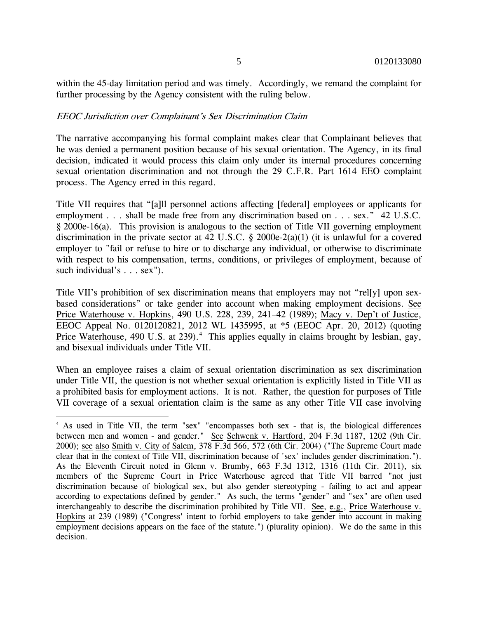within the 45-day limitation period and was timely. Accordingly, we remand the complaint for further processing by the Agency consistent with the ruling below.

## EEOC Jurisdiction over Complainant's Sex Discrimination Claim

 $\overline{a}$ 

The narrative accompanying his formal complaint makes clear that Complainant believes that he was denied a permanent position because of his sexual orientation. The Agency, in its final decision, indicated it would process this claim only under its internal procedures concerning sexual orientation discrimination and not through the 29 C.F.R. Part 1614 EEO complaint process. The Agency erred in this regard.

Title VII requires that "[a]ll personnel actions affecting [federal] employees or applicants for employment . . . shall be made free from any discrimination based on . . . sex." 42 U.S.C. § 2000e-16(a). This provision is analogous to the section of Title VII governing employment discrimination in the private sector at 42 U.S.C. § 2000e-2(a)(1) (it is unlawful for a covered employer to "fail or refuse to hire or to discharge any individual, or otherwise to discriminate with respect to his compensation, terms, conditions, or privileges of employment, because of such individual's . . . sex").

Title VII's prohibition of sex discrimination means that employers may not "rel[y] upon sexbased considerations" or take gender into account when making employment decisions. See Price Waterhouse v. Hopkins, 490 U.S. 228, 239, 241–42 (1989); Macy v. Dep't of Justice, EEOC Appeal No. 0120120821, 2012 WL 1435995, at \*5 (EEOC Apr. 20, 2012) (quoting Price Waterhouse, [4](#page-4-0)90 U.S. at 239).<sup>4</sup> This applies equally in claims brought by lesbian, gay, and bisexual individuals under Title VII.

When an employee raises a claim of sexual orientation discrimination as sex discrimination under Title VII, the question is not whether sexual orientation is explicitly listed in Title VII as a prohibited basis for employment actions. It is not. Rather, the question for purposes of Title VII coverage of a sexual orientation claim is the same as any other Title VII case involving

<span id="page-4-0"></span><sup>&</sup>lt;sup>4</sup> As used in Title VII, the term "sex" "encompasses both sex - that is, the biological differences between men and women - and gender." See Schwenk v. Hartford, 204 F.3d 1187, 1202 (9th Cir. 2000); see also Smith v. City of Salem, 378 F.3d 566, 572 (6th Cir. 2004) ("The Supreme Court made clear that in the context of Title VII, discrimination because of 'sex' includes gender discrimination."). As the Eleventh Circuit noted in Glenn v. Brumby, 663 F.3d 1312, 1316 (11th Cir. 2011), six members of the Supreme Court in Price Waterhouse agreed that Title VII barred "not just discrimination because of biological sex, but also gender stereotyping - failing to act and appear according to expectations defined by gender." As such, the terms "gender" and "sex" are often used interchangeably to describe the discrimination prohibited by Title VII. See, e.g., Price Waterhouse v. Hopkins at 239 (1989) ("Congress' intent to forbid employers to take gender into account in making employment decisions appears on the face of the statute.") (plurality opinion). We do the same in this decision.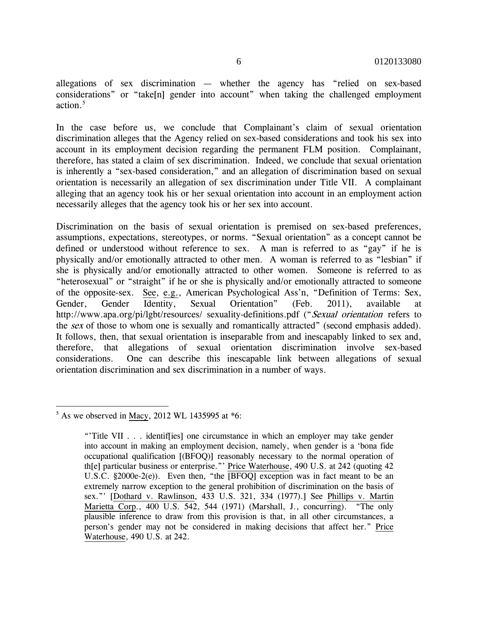allegations of sex discrimination — whether the agency has "relied on sex-based considerations" or "take[n] gender into account" when taking the challenged employment action.<sup>[5](#page-5-0)</sup>

In the case before us, we conclude that Complainant's claim of sexual orientation discrimination alleges that the Agency relied on sex-based considerations and took his sex into account in its employment decision regarding the permanent FLM position. Complainant, therefore, has stated a claim of sex discrimination. Indeed, we conclude that sexual orientation is inherently a "sex-based consideration," and an allegation of discrimination based on sexual orientation is necessarily an allegation of sex discrimination under Title VII. A complainant alleging that an agency took his or her sexual orientation into account in an employment action necessarily alleges that the agency took his or her sex into account.

Discrimination on the basis of sexual orientation is premised on sex-based preferences, assumptions, expectations, stereotypes, or norms. "Sexual orientation" as a concept cannot be defined or understood without reference to sex. A man is referred to as "gay" if he is physically and/or emotionally attracted to other men. A woman is referred to as "lesbian" if she is physically and/or emotionally attracted to other women. Someone is referred to as "heterosexual" or "straight" if he or she is physically and/or emotionally attracted to someone of the opposite-sex. See, e.g., American Psychological Ass'n, "Definition of Terms: Sex, Gender, Gender Identity, Sexual Orientation" (Feb. 2011), available at http://www.apa.org/pi/lgbt/resources/ sexuality-definitions.pdf ("Sexual orientation refers to the sex of those to whom one is sexually and romantically attracted" (second emphasis added). It follows, then, that sexual orientation is inseparable from and inescapably linked to sex and, therefore, that allegations of sexual orientation discrimination involve sex-based considerations. One can describe this inescapable link between allegations of sexual orientation discrimination and sex discrimination in a number of ways.

<span id="page-5-0"></span> $\overline{a}$  $5$  As we observed in Macy, 2012 WL 1435995 at  $*6$ :

<sup>&</sup>quot;'Title VII . . . identif[ies] one circumstance in which an employer may take gender into account in making an employment decision, namely, when gender is a 'bona fide occupational qualification [(BFOQ)] reasonably necessary to the normal operation of th[e] particular business or enterprise."' Price Waterhouse, 490 U.S. at 242 (quoting 42 U.S.C. §2000e-2(e)). Even then, "the [BFOQ] exception was in fact meant to be an extremely narrow exception to the general prohibition of discrimination on the basis of sex."' [Dothard v. Rawlinson, 433 U.S. 321, 334 (1977).] See Phillips v. Martin Marietta Corp., 400 U.S. 542, 544 (1971) (Marshall, J., concurring). "The only plausible inference to draw from this provision is that, in all other circumstances, a person's gender may not be considered in making decisions that affect her." Price Waterhouse, 490 U.S. at 242.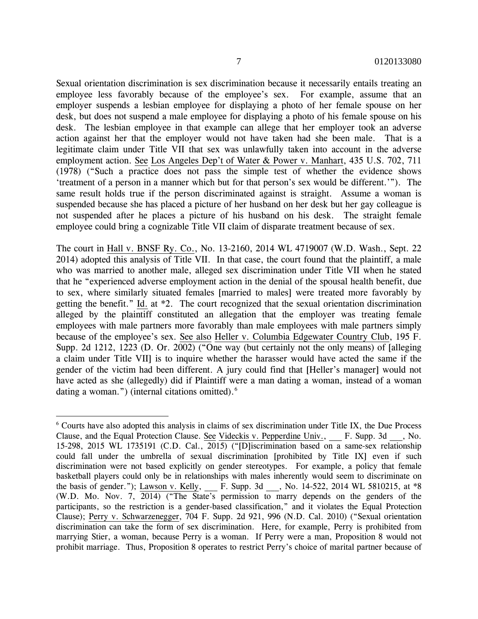Sexual orientation discrimination is sex discrimination because it necessarily entails treating an employee less favorably because of the employee's sex. For example, assume that an employer suspends a lesbian employee for displaying a photo of her female spouse on her desk, but does not suspend a male employee for displaying a photo of his female spouse on his desk. The lesbian employee in that example can allege that her employer took an adverse action against her that the employer would not have taken had she been male. That is a legitimate claim under Title VII that sex was unlawfully taken into account in the adverse employment action. See Los Angeles Dep't of Water & Power v. Manhart, 435 U.S. 702, 711 (1978) ("Such a practice does not pass the simple test of whether the evidence shows 'treatment of a person in a manner which but for that person's sex would be different.'"). The same result holds true if the person discriminated against is straight. Assume a woman is suspended because she has placed a picture of her husband on her desk but her gay colleague is not suspended after he places a picture of his husband on his desk. The straight female employee could bring a cognizable Title VII claim of disparate treatment because of sex.

The court in Hall v. BNSF Ry. Co., No. 13-2160, 2014 WL 4719007 (W.D. Wash., Sept. 22 2014) adopted this analysis of Title VII. In that case, the court found that the plaintiff, a male who was married to another male, alleged sex discrimination under Title VII when he stated that he "experienced adverse employment action in the denial of the spousal health benefit, due to sex, where similarly situated females [married to males] were treated more favorably by getting the benefit." Id. at \*2. The court recognized that the sexual orientation discrimination alleged by the plaintiff constituted an allegation that the employer was treating female employees with male partners more favorably than male employees with male partners simply because of the employee's sex. See also Heller v. Columbia Edgewater Country Club, 195 F. Supp. 2d 1212, 1223 (D. Or. 2002) ("One way (but certainly not the only means) of [alleging a claim under Title VII] is to inquire whether the harasser would have acted the same if the gender of the victim had been different. A jury could find that [Heller's manager] would not have acted as she (allegedly) did if Plaintiff were a man dating a woman, instead of a woman dating a woman.") (internal citations omitted). $<sup>6</sup>$  $<sup>6</sup>$  $<sup>6</sup>$ </sup>

 $\overline{a}$ 

<span id="page-6-0"></span><sup>6</sup> Courts have also adopted this analysis in claims of sex discrimination under Title IX, the Due Process Clause, and the Equal Protection Clause. See Videckis v. Pepperdine Univ., F. Supp. 3d , No. 15-298, 2015 WL 1735191 (C.D. Cal., 2015) ("[D]iscrimination based on a same-sex relationship could fall under the umbrella of sexual discrimination [prohibited by Title IX] even if such discrimination were not based explicitly on gender stereotypes. For example, a policy that female basketball players could only be in relationships with males inherently would seem to discriminate on the basis of gender."); Lawson v. Kelly, \_\_\_ F. Supp. 3d \_\_\_, No. 14-522, 2014 WL 5810215, at \*8 (W.D. Mo. Nov. 7, 2014) ("The State's permission to marry depends on the genders of the participants, so the restriction is a gender-based classification," and it violates the Equal Protection Clause); Perry v. Schwarzenegger, 704 F. Supp. 2d 921, 996 (N.D. Cal. 2010) ("Sexual orientation discrimination can take the form of sex discrimination. Here, for example, Perry is prohibited from marrying Stier, a woman, because Perry is a woman. If Perry were a man, Proposition 8 would not prohibit marriage. Thus, Proposition 8 operates to restrict Perry's choice of marital partner because of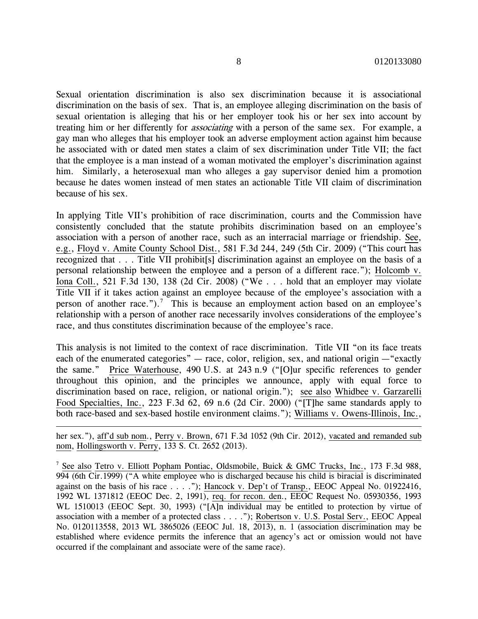Sexual orientation discrimination is also sex discrimination because it is associational discrimination on the basis of sex. That is, an employee alleging discrimination on the basis of sexual orientation is alleging that his or her employer took his or her sex into account by treating him or her differently for associating with a person of the same sex. For example, a gay man who alleges that his employer took an adverse employment action against him because he associated with or dated men states a claim of sex discrimination under Title VII; the fact that the employee is a man instead of a woman motivated the employer's discrimination against him. Similarly, a heterosexual man who alleges a gay supervisor denied him a promotion because he dates women instead of men states an actionable Title VII claim of discrimination because of his sex.

In applying Title VII's prohibition of race discrimination, courts and the Commission have consistently concluded that the statute prohibits discrimination based on an employee's association with a person of another race, such as an interracial marriage or friendship. See, e.g., Floyd v. Amite County School Dist., 581 F.3d 244, 249 (5th Cir. 2009) ("This court has recognized that . . . Title VII prohibit[s] discrimination against an employee on the basis of a personal relationship between the employee and a person of a different race."); Holcomb v. Iona Coll., 521 F.3d 130, 138 (2d Cir. 2008) ("We . . . hold that an employer may violate Title VII if it takes action against an employee because of the employee's association with a person of another race.").<sup>[7](#page-7-0)</sup> This is because an employment action based on an employee's relationship with a person of another race necessarily involves considerations of the employee's race, and thus constitutes discrimination because of the employee's race.

This analysis is not limited to the context of race discrimination. Title VII "on its face treats each of the enumerated categories" — race, color, religion, sex, and national origin — "exactly the same." Price Waterhouse, 490 U.S. at 243 n.9 ("[O]ur specific references to gender throughout this opinion, and the principles we announce, apply with equal force to discrimination based on race, religion, or national origin."); see also Whidbee v. Garzarelli Food Specialties, Inc., 223 F.3d 62, 69 n.6 (2d Cir. 2000) ("[T]he same standards apply to both race-based and sex-based hostile environment claims."); Williams v. Owens-Illinois, Inc.,

her sex."), aff'd sub nom., Perry v. Brown, 671 F.3d 1052 (9th Cir. 2012), vacated and remanded sub nom, Hollingsworth v. Perry, 133 S. Ct. 2652 (2013).

 $\overline{a}$ 

<span id="page-7-0"></span><sup>7</sup> See also Tetro v. Elliott Popham Pontiac, Oldsmobile, Buick & GMC Trucks, Inc., 173 F.3d 988, 994 (6th Cir.1999) ("A white employee who is discharged because his child is biracial is discriminated against on the basis of his race . . . . "); Hancock v. Dep't of Transp., EEOC Appeal No. 01922416, 1992 WL 1371812 (EEOC Dec. 2, 1991), req. for recon. den., EEOC Request No. 05930356, 1993 WL 1510013 (EEOC Sept. 30, 1993) ("[A]n individual may be entitled to protection by virtue of association with a member of a protected class . . . ."); Robertson v. U.S. Postal Serv., EEOC Appeal No. 0120113558, 2013 WL 3865026 (EEOC Jul. 18, 2013), n. 1 (association discrimination may be established where evidence permits the inference that an agency's act or omission would not have occurred if the complainant and associate were of the same race).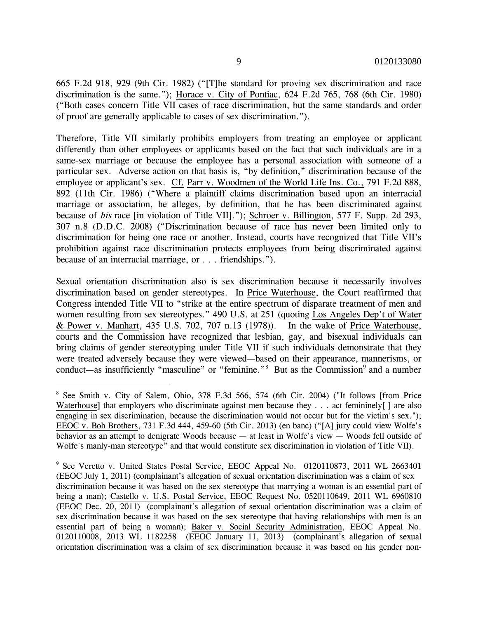665 F.2d 918, 929 (9th Cir. 1982) ("[T]he standard for proving sex discrimination and race discrimination is the same."); Horace v. City of Pontiac, 624 F.2d 765, 768 (6th Cir. 1980) ("Both cases concern Title VII cases of race discrimination, but the same standards and order of proof are generally applicable to cases of sex discrimination.").

Therefore, Title VII similarly prohibits employers from treating an employee or applicant differently than other employees or applicants based on the fact that such individuals are in a same-sex marriage or because the employee has a personal association with someone of a particular sex. Adverse action on that basis is, "by definition," discrimination because of the employee or applicant's sex. Cf. Parr v. Woodmen of the World Life Ins. Co., 791 F.2d 888, 892 (11th Cir. 1986) ("Where a plaintiff claims discrimination based upon an interracial marriage or association, he alleges, by definition, that he has been discriminated against because of his race [in violation of Title VII]."); Schroer v. Billington, 577 F. Supp. 2d 293, 307 n.8 (D.D.C. 2008) ("Discrimination because of race has never been limited only to discrimination for being one race or another. Instead, courts have recognized that Title VII's prohibition against race discrimination protects employees from being discriminated against because of an interracial marriage, or . . . friendships.").

Sexual orientation discrimination also is sex discrimination because it necessarily involves discrimination based on gender stereotypes. In Price Waterhouse, the Court reaffirmed that Congress intended Title VII to "strike at the entire spectrum of disparate treatment of men and women resulting from sex stereotypes." 490 U.S. at 251 (quoting Los Angeles Dep't of Water & Power v. Manhart, 435 U.S. 702, 707 n.13 (1978)). In the wake of Price Waterhouse, courts and the Commission have recognized that lesbian, gay, and bisexual individuals can bring claims of gender stereotyping under Title VII if such individuals demonstrate that they were treated adversely because they were viewed—based on their appearance, mannerisms, or conduct—as insufficiently "masculine" or "feminine."<sup>[8](#page-8-0)</sup> But as the Commission<sup>[9](#page-8-1)</sup> and a number

 $\overline{a}$ 

<span id="page-8-0"></span><sup>8</sup> See Smith v. City of Salem, Ohio, 378 F.3d 566, 574 (6th Cir. 2004) ("It follows [from Price Waterhouse] that employers who discriminate against men because they . . . act femininely[] are also engaging in sex discrimination, because the discrimination would not occur but for the victim's sex."); EEOC v. Boh Brothers, 731 F.3d 444, 459-60 (5th Cir. 2013) (en banc) ("[A] jury could view Wolfe's behavior as an attempt to denigrate Woods because — at least in Wolfe's view — Woods fell outside of Wolfe's manly-man stereotype" and that would constitute sex discrimination in violation of Title VII).

<span id="page-8-1"></span><sup>&</sup>lt;sup>9</sup> See Veretto v. United States Postal Service, EEOC Appeal No. 0120110873, 2011 WL 2663401 (EEOC July 1, 2011) (complainant's allegation of sexual orientation discrimination was a claim of sex discrimination because it was based on the sex stereotype that marrying a woman is an essential part of being a man); Castello v. U.S. Postal Service, EEOC Request No. 0520110649, 2011 WL 6960810 (EEOC Dec. 20, 2011) (complainant's allegation of sexual orientation discrimination was a claim of sex discrimination because it was based on the sex stereotype that having relationships with men is an essential part of being a woman); Baker v. Social Security Administration, EEOC Appeal No. 0120110008, 2013 WL 1182258 (EEOC January 11, 2013) (complainant's allegation of sexual orientation discrimination was a claim of sex discrimination because it was based on his gender non-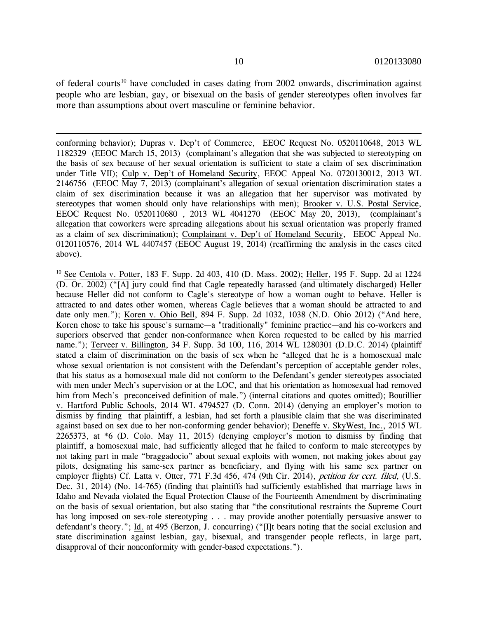of federal courts<sup>[10](#page-9-0)</sup> have concluded in cases dating from 2002 onwards, discrimination against people who are lesbian, gay, or bisexual on the basis of gender stereotypes often involves far more than assumptions about overt masculine or feminine behavior.

 $\overline{a}$ 

conforming behavior); Dupras v. Dep't of Commerce, EEOC Request No. 0520110648, 2013 WL 1182329 (EEOC March 15, 2013) (complainant's allegation that she was subjected to stereotyping on the basis of sex because of her sexual orientation is sufficient to state a claim of sex discrimination under Title VII); Culp v. Dep't of Homeland Security, EEOC Appeal No. 0720130012, 2013 WL 2146756 (EEOC May 7, 2013) (complainant's allegation of sexual orientation discrimination states a claim of sex discrimination because it was an allegation that her supervisor was motivated by stereotypes that women should only have relationships with men); Brooker v. U.S. Postal Service, EEOC Request No. 0520110680 , 2013 WL 4041270 (EEOC May 20, 2013), (complainant's allegation that coworkers were spreading allegations about his sexual orientation was properly framed as a claim of sex discrimination); Complainant v. Dep't of Homeland Security, EEOC Appeal No. 0120110576, 2014 WL 4407457 (EEOC August 19, 2014) (reaffirming the analysis in the cases cited above).

<span id="page-9-0"></span><sup>10</sup> See Centola v. Potter, 183 F. Supp. 2d 403, 410 (D. Mass. 2002); Heller, 195 F. Supp. 2d at 1224 (D. Or. 2002) ("[A] jury could find that Cagle repeatedly harassed (and ultimately discharged) Heller because Heller did not conform to Cagle's stereotype of how a woman ought to behave. Heller is attracted to and dates other women, whereas Cagle believes that a woman should be attracted to and date only men."); Koren v. Ohio Bell, 894 F. Supp. 2d 1032, 1038 (N.D. Ohio 2012) ("And here, Koren chose to take his spouse's surname—a "traditionally" feminine practice—and his co-workers and superiors observed that gender non-conformance when Koren requested to be called by his married name."); Terveer v. Billington, 34 F. Supp. 3d 100, 116, 2014 WL 1280301 (D.D.C. 2014) (plaintiff stated a claim of discrimination on the basis of sex when he "alleged that he is a homosexual male whose sexual orientation is not consistent with the Defendant's perception of acceptable gender roles, that his status as a homosexual male did not conform to the Defendant's gender stereotypes associated with men under Mech's supervision or at the LOC, and that his orientation as homosexual had removed him from Mech's preconceived definition of male.") (internal citations and quotes omitted); Boutillier v. Hartford Public Schools, 2014 WL 4794527 (D. Conn. 2014) (denying an employer's motion to dismiss by finding that plaintiff, a lesbian, had set forth a plausible claim that she was discriminated against based on sex due to her non-conforming gender behavior); Deneffe v. SkyWest, Inc., 2015 WL 2265373, at \*6 (D. Colo. May 11, 2015) (denying employer's motion to dismiss by finding that plaintiff, a homosexual male, had sufficiently alleged that he failed to conform to male stereotypes by not taking part in male "braggadocio" about sexual exploits with women, not making jokes about gay pilots, designating his same-sex partner as beneficiary, and flying with his same sex partner on employer flights) Cf. Latta v. Otter, 771 F.3d 456, 474 (9th Cir. 2014), *petition for cert. filed*, (U.S. Dec. 31, 2014) (No. 14-765) (finding that plaintiffs had sufficiently established that marriage laws in Idaho and Nevada violated the Equal Protection Clause of the Fourteenth Amendment by discriminating on the basis of sexual orientation, but also stating that "the constitutional restraints the Supreme Court has long imposed on sex-role stereotyping . . . may provide another potentially persuasive answer to defendant's theory."; Id. at 495 (Berzon, J. concurring) ("[I]t bears noting that the social exclusion and state discrimination against lesbian, gay, bisexual, and transgender people reflects, in large part, disapproval of their nonconformity with gender-based expectations.").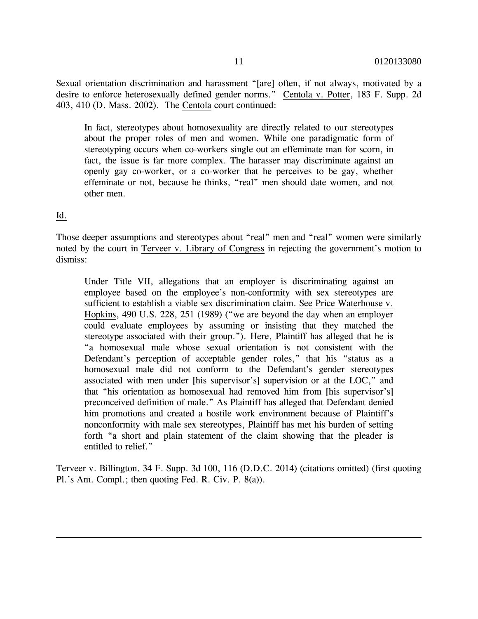Sexual orientation discrimination and harassment "[are] often, if not always, motivated by a desire to enforce heterosexually defined gender norms." Centola v. Potter, 183 F. Supp. 2d 403, 410 (D. Mass. 2002). The Centola court continued:

In fact, stereotypes about homosexuality are directly related to our stereotypes about the proper roles of men and women. While one paradigmatic form of stereotyping occurs when co-workers single out an effeminate man for scorn, in fact, the issue is far more complex. The harasser may discriminate against an openly gay co-worker, or a co-worker that he perceives to be gay, whether effeminate or not, because he thinks, "real" men should date women, and not other men.

## Id.

 $\overline{a}$ 

Those deeper assumptions and stereotypes about "real" men and "real" women were similarly noted by the court in Terveer v. Library of Congress in rejecting the government's motion to dismiss:

Under Title VII, allegations that an employer is discriminating against an employee based on the employee's non-conformity with sex stereotypes are sufficient to establish a viable sex discrimination claim. See Price Waterhouse v. Hopkins, 490 U.S. 228, 251 (1989) ("we are beyond the day when an employer could evaluate employees by assuming or insisting that they matched the stereotype associated with their group."). Here, Plaintiff has alleged that he is "a homosexual male whose sexual orientation is not consistent with the Defendant's perception of acceptable gender roles," that his "status as a homosexual male did not conform to the Defendant's gender stereotypes associated with men under [his supervisor's] supervision or at the LOC," and that "his orientation as homosexual had removed him from [his supervisor's] preconceived definition of male." As Plaintiff has alleged that Defendant denied him promotions and created a hostile work environment because of Plaintiff's nonconformity with male sex stereotypes, Plaintiff has met his burden of setting forth "a short and plain statement of the claim showing that the pleader is entitled to relief."

Terveer v. Billington. 34 F. Supp. 3d 100, 116 (D.D.C. 2014) (citations omitted) (first quoting Pl.'s Am. Compl.; then quoting Fed. R. Civ. P. 8(a)).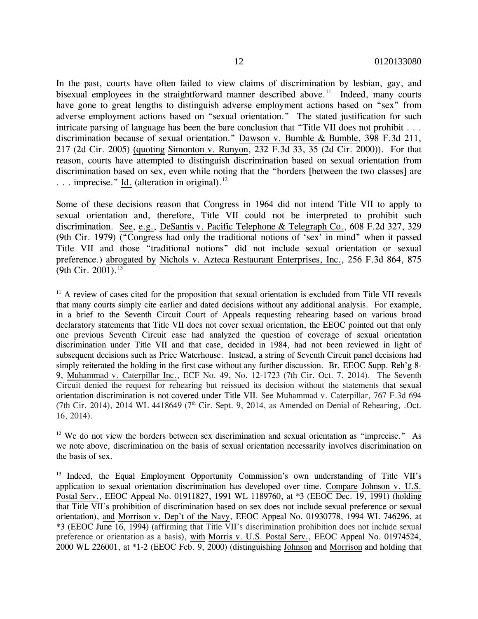In the past, courts have often failed to view claims of discrimination by lesbian, gay, and bisexual employees in the straightforward manner described above.<sup>11</sup> Indeed, many courts have gone to great lengths to distinguish adverse employment actions based on "sex" from adverse employment actions based on "sexual orientation." The stated justification for such intricate parsing of language has been the bare conclusion that "Title VII does not prohibit . . . discrimination because of sexual orientation." Dawson v. Bumble & Bumble, 398 F.3d 211, 217 (2d Cir. 2005) (quoting Simonton v. Runyon, 232 F.3d 33, 35 (2d Cir. 2000)). For that reason, courts have attempted to distinguish discrimination based on sexual orientation from discrimination based on sex, even while noting that the "borders [between the two classes] are  $\ldots$  imprecise." Id. (alteration in original).<sup>[12](#page-11-1)</sup>

Some of these decisions reason that Congress in 1964 did not intend Title VII to apply to sexual orientation and, therefore, Title VII could not be interpreted to prohibit such discrimination. See, e.g., DeSantis v. Pacific Telephone & Telegraph Co., 608 F.2d 327, 329 (9th Cir. 1979) ("Congress had only the traditional notions of 'sex' in mind" when it passed Title VII and those "traditional notions" did not include sexual orientation or sexual preference.) abrogated by Nichols v. Azteca Restaurant Enterprises, Inc., 256 F.3d 864, 875 (9th Cir. 2001). $^{13}$  $^{13}$  $^{13}$ 

 $\overline{a}$ 

<span id="page-11-1"></span> $12$  We do not view the borders between sex discrimination and sexual orientation as "imprecise." As we note above, discrimination on the basis of sexual orientation necessarily involves discrimination on the basis of sex.

<span id="page-11-0"></span> $11$  A review of cases cited for the proposition that sexual orientation is excluded from Title VII reveals that many courts simply cite earlier and dated decisions without any additional analysis. For example, in a brief to the Seventh Circuit Court of Appeals requesting rehearing based on various broad declaratory statements that Title VII does not cover sexual orientation, the EEOC pointed out that only one previous Seventh Circuit case had analyzed the question of coverage of sexual orientation discrimination under Title VII and that case, decided in 1984, had not been reviewed in light of subsequent decisions such as Price Waterhouse. Instead, a string of Seventh Circuit panel decisions had simply reiterated the holding in the first case without any further discussion. Br. EEOC Supp. Reh'g 8-9, Muhammad v. Caterpillar Inc., ECF No. 49, No. 12-1723 (7th Cir. Oct. 7, 2014). The Seventh Circuit denied the request for rehearing but reissued its decision without the statements that sexual orientation discrimination is not covered under Title VII. See Muhammad v. Caterpillar, 767 F.3d 694 (7th Cir. 2014), 2014 WL 4418649 ( $7<sup>th</sup>$  Cir. Sept. 9, 2014, as Amended on Denial of Rehearing, .Oct. 16, 2014).

<span id="page-11-2"></span><sup>&</sup>lt;sup>13</sup> Indeed, the Equal Employment Opportunity Commission's own understanding of Title VII's application to sexual orientation discrimination has developed over time. Compare Johnson v. U.S. Postal Serv., EEOC Appeal No. 01911827, 1991 WL 1189760, at \*3 (EEOC Dec. 19, 1991) (holding that Title VII's prohibition of discrimination based on sex does not include sexual preference or sexual orientation), and Morrison v. Dep't of the Navy, EEOC Appeal No. 01930778, 1994 WL 746296, at \*3 (EEOC June 16, 1994) (affirming that Title VII's discrimination prohibition does not include sexual preference or orientation as a basis), with Morris v. U.S. Postal Serv., EEOC Appeal No. 01974524, 2000 WL 226001, at \*1-2 (EEOC Feb. 9, 2000) (distinguishing Johnson and Morrison and holding that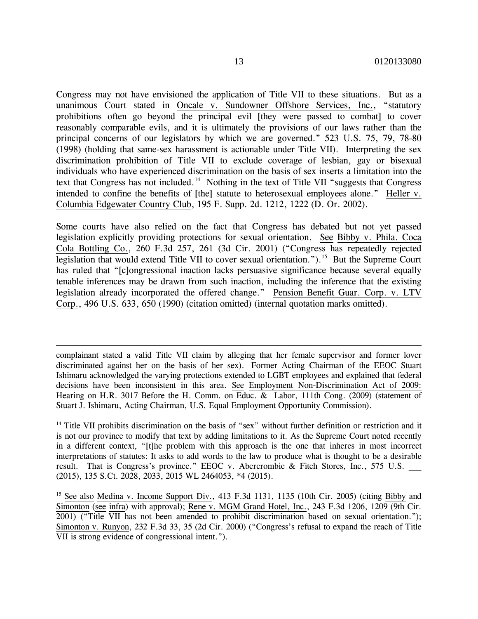Congress may not have envisioned the application of Title VII to these situations. But as a unanimous Court stated in Oncale v. Sundowner Offshore Services, Inc., "statutory prohibitions often go beyond the principal evil [they were passed to combat] to cover reasonably comparable evils, and it is ultimately the provisions of our laws rather than the principal concerns of our legislators by which we are governed." 523 U.S. 75, 79, 78-80 (1998) (holding that same-sex harassment is actionable under Title VII). Interpreting the sex discrimination prohibition of Title VII to exclude coverage of lesbian, gay or bisexual individuals who have experienced discrimination on the basis of sex inserts a limitation into the text that Congress has not included.<sup>[14](#page-12-0)</sup> Nothing in the text of Title VII "suggests that Congress" intended to confine the benefits of [the] statute to heterosexual employees alone." Heller v. Columbia Edgewater Country Club, 195 F. Supp. 2d. 1212, 1222 (D. Or. 2002).

Some courts have also relied on the fact that Congress has debated but not yet passed legislation explicitly providing protections for sexual orientation. See Bibby v. Phila. Coca Cola Bottling Co., 260 F.3d 257, 261 (3d Cir. 2001) ("Congress has repeatedly rejected legislation that would extend Title VII to cover sexual orientation.").<sup>[15](#page-12-1)</sup> But the Supreme Court has ruled that "[c]ongressional inaction lacks persuasive significance because several equally tenable inferences may be drawn from such inaction, including the inference that the existing legislation already incorporated the offered change." Pension Benefit Guar. Corp. v. LTV Corp., 496 U.S. 633, 650 (1990) (citation omitted) (internal quotation marks omitted).

complainant stated a valid Title VII claim by alleging that her female supervisor and former lover discriminated against her on the basis of her sex). Former Acting Chairman of the EEOC Stuart Ishimaru acknowledged the varying protections extended to LGBT employees and explained that federal decisions have been inconsistent in this area. See Employment Non-Discrimination Act of 2009: Hearing on H.R. 3017 Before the H. Comm. on Educ. & Labor, 111th Cong. (2009) (statement of Stuart J. Ishimaru, Acting Chairman, U.S. Equal Employment Opportunity Commission).

 $\overline{a}$ 

<span id="page-12-0"></span><sup>14</sup> Title VII prohibits discrimination on the basis of "sex" without further definition or restriction and it is not our province to modify that text by adding limitations to it. As the Supreme Court noted recently in a different context, "[t]he problem with this approach is the one that inheres in most incorrect interpretations of statutes: It asks to add words to the law to produce what is thought to be a desirable result. That is Congress's province." EEOC v. Abercrombie & Fitch Stores, Inc., 575 U.S. (2015), 135 S.Ct. 2028, 2033, 2015 WL 2464053, \*4 (2015).

<span id="page-12-1"></span><sup>15</sup> See also Medina v. Income Support Div., 413 F.3d 1131, 1135 (10th Cir. 2005) (citing Bibby and Simonton (see infra) with approval); Rene v. MGM Grand Hotel, Inc., 243 F.3d 1206, 1209 (9th Cir. 2001) ("Title VII has not been amended to prohibit discrimination based on sexual orientation."); Simonton v. Runyon, 232 F.3d 33, 35 (2d Cir. 2000) ("Congress's refusal to expand the reach of Title VII is strong evidence of congressional intent.").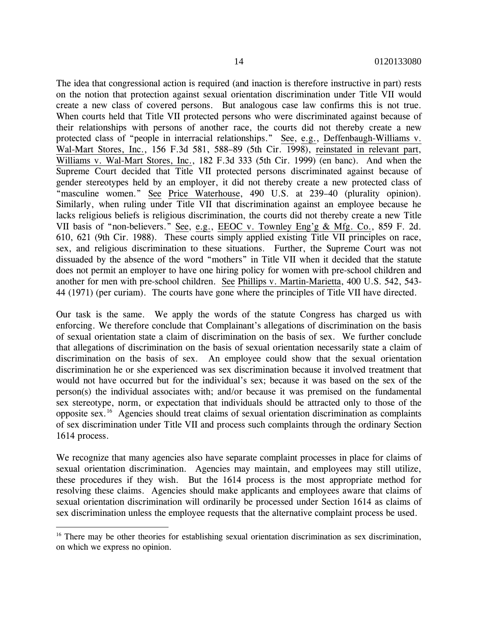The idea that congressional action is required (and inaction is therefore instructive in part) rests on the notion that protection against sexual orientation discrimination under Title VII would create a new class of covered persons. But analogous case law confirms this is not true. When courts held that Title VII protected persons who were discriminated against because of their relationships with persons of another race, the courts did not thereby create a new protected class of "people in interracial relationships." See, e.g., Deffenbaugh-Williams v. Wal-Mart Stores, Inc., 156 F.3d 581, 588–89 (5th Cir. 1998), reinstated in relevant part, Williams v. Wal-Mart Stores, Inc., 182 F.3d 333 (5th Cir. 1999) (en banc). And when the Supreme Court decided that Title VII protected persons discriminated against because of gender stereotypes held by an employer, it did not thereby create a new protected class of "masculine women." See Price Waterhouse, 490 U.S. at 239–40 (plurality opinion). Similarly, when ruling under Title VII that discrimination against an employee because he lacks religious beliefs is religious discrimination, the courts did not thereby create a new Title VII basis of "non-believers." See, e.g., EEOC v. Townley Eng'g & Mfg. Co., 859 F. 2d. 610, 621 (9th Cir. 1988). These courts simply applied existing Title VII principles on race, sex, and religious discrimination to these situations. Further, the Supreme Court was not dissuaded by the absence of the word "mothers" in Title VII when it decided that the statute does not permit an employer to have one hiring policy for women with pre-school children and another for men with pre-school children. See Phillips v. Martin-Marietta, 400 U.S. 542, 543- 44 (1971) (per curiam). The courts have gone where the principles of Title VII have directed.

Our task is the same. We apply the words of the statute Congress has charged us with enforcing. We therefore conclude that Complainant's allegations of discrimination on the basis of sexual orientation state a claim of discrimination on the basis of sex. We further conclude that allegations of discrimination on the basis of sexual orientation necessarily state a claim of discrimination on the basis of sex. An employee could show that the sexual orientation discrimination he or she experienced was sex discrimination because it involved treatment that would not have occurred but for the individual's sex; because it was based on the sex of the person(s) the individual associates with; and/or because it was premised on the fundamental sex stereotype, norm, or expectation that individuals should be attracted only to those of the opposite sex.[16](#page-13-0) Agencies should treat claims of sexual orientation discrimination as complaints of sex discrimination under Title VII and process such complaints through the ordinary Section 1614 process.

We recognize that many agencies also have separate complaint processes in place for claims of sexual orientation discrimination. Agencies may maintain, and employees may still utilize, these procedures if they wish. But the 1614 process is the most appropriate method for resolving these claims. Agencies should make applicants and employees aware that claims of sexual orientation discrimination will ordinarily be processed under Section 1614 as claims of sex discrimination unless the employee requests that the alternative complaint process be used.

 $\overline{a}$ 

<span id="page-13-0"></span><sup>&</sup>lt;sup>16</sup> There may be other theories for establishing sexual orientation discrimination as sex discrimination, on which we express no opinion.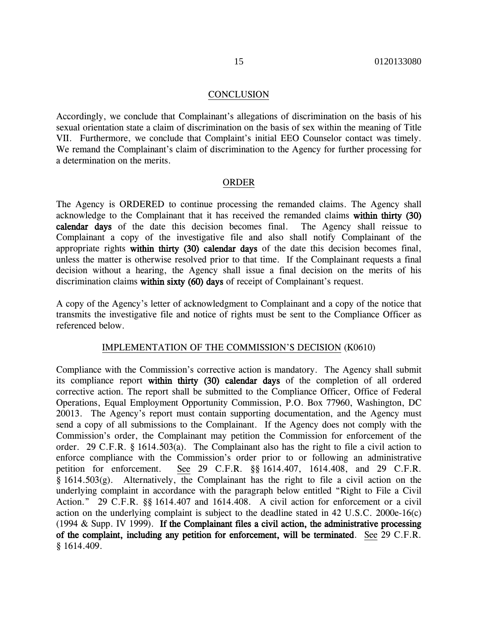#### **CONCLUSION**

Accordingly, we conclude that Complainant's allegations of discrimination on the basis of his sexual orientation state a claim of discrimination on the basis of sex within the meaning of Title VII. Furthermore, we conclude that Complaint's initial EEO Counselor contact was timely. We remand the Complainant's claim of discrimination to the Agency for further processing for a determination on the merits.

## ORDER

The Agency is ORDERED to continue processing the remanded claims. The Agency shall acknowledge to the Complainant that it has received the remanded claims within thirty (30) calendar days of the date this decision becomes final. The Agency shall reissue to Complainant a copy of the investigative file and also shall notify Complainant of the appropriate rights within thirty (30) calendar days of the date this decision becomes final, unless the matter is otherwise resolved prior to that time. If the Complainant requests a final decision without a hearing, the Agency shall issue a final decision on the merits of his discrimination claims within sixty (60) days of receipt of Complainant's request.

A copy of the Agency's letter of acknowledgment to Complainant and a copy of the notice that transmits the investigative file and notice of rights must be sent to the Compliance Officer as referenced below.

## IMPLEMENTATION OF THE COMMISSION'S DECISION (K0610)

Compliance with the Commission's corrective action is mandatory. The Agency shall submit its compliance report within thirty (30) calendar days of the completion of all ordered corrective action. The report shall be submitted to the Compliance Officer, Office of Federal Operations, Equal Employment Opportunity Commission, P.O. Box 77960, Washington, DC 20013. The Agency's report must contain supporting documentation, and the Agency must send a copy of all submissions to the Complainant. If the Agency does not comply with the Commission's order, the Complainant may petition the Commission for enforcement of the order. 29 C.F.R. § 1614.503(a). The Complainant also has the right to file a civil action to enforce compliance with the Commission's order prior to or following an administrative petition for enforcement. See 29 C.F.R. §§ 1614.407, 1614.408, and 29 C.F.R. § 1614.503(g). Alternatively, the Complainant has the right to file a civil action on the underlying complaint in accordance with the paragraph below entitled "Right to File a Civil Action." 29 C.F.R. §§ 1614.407 and 1614.408. A civil action for enforcement or a civil action on the underlying complaint is subject to the deadline stated in 42 U.S.C. 2000e-16(c) (1994  $\&$  Supp. IV 1999). If the Complainant files a civil action, the administrative processing of the complaint, including any petition for enforcement, will be terminated. See 29 C.F.R. § 1614.409.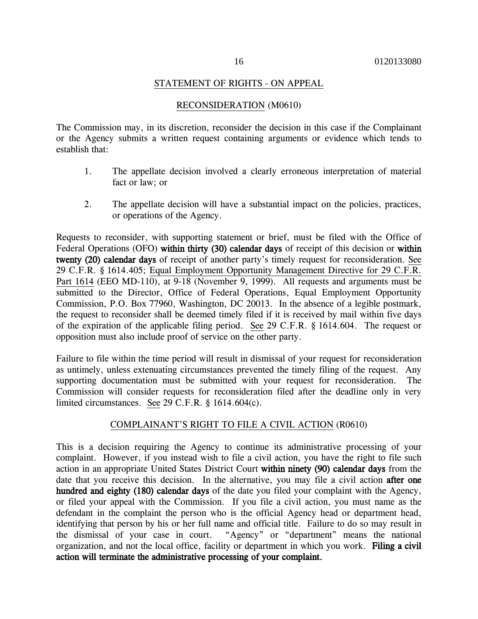## STATEMENT OF RIGHTS - ON APPEAL

## RECONSIDERATION (M0610)

The Commission may, in its discretion, reconsider the decision in this case if the Complainant or the Agency submits a written request containing arguments or evidence which tends to establish that:

- 1. The appellate decision involved a clearly erroneous interpretation of material fact or law; or
- 2. The appellate decision will have a substantial impact on the policies, practices, or operations of the Agency.

Requests to reconsider, with supporting statement or brief, must be filed with the Office of Federal Operations (OFO) within thirty (30) calendar days of receipt of this decision or within twenty (20) calendar days of receipt of another party's timely request for reconsideration. See 29 C.F.R. § 1614.405; Equal Employment Opportunity Management Directive for 29 C.F.R. Part 1614 (EEO MD-110), at 9-18 (November 9, 1999). All requests and arguments must be submitted to the Director, Office of Federal Operations, Equal Employment Opportunity Commission, P.O. Box 77960, Washington, DC 20013. In the absence of a legible postmark, the request to reconsider shall be deemed timely filed if it is received by mail within five days of the expiration of the applicable filing period. See 29 C.F.R. § 1614.604. The request or opposition must also include proof of service on the other party.

Failure to file within the time period will result in dismissal of your request for reconsideration as untimely, unless extenuating circumstances prevented the timely filing of the request. Any supporting documentation must be submitted with your request for reconsideration. The Commission will consider requests for reconsideration filed after the deadline only in very limited circumstances. See 29 C.F.R.  $\S$  1614.604(c).

## COMPLAINANT'S RIGHT TO FILE A CIVIL ACTION (R0610)

This is a decision requiring the Agency to continue its administrative processing of your complaint. However, if you instead wish to file a civil action, you have the right to file such action in an appropriate United States District Court within ninety (90) calendar days from the date that you receive this decision. In the alternative, you may file a civil action after one hundred and eighty (180) calendar days of the date you filed your complaint with the Agency, or filed your appeal with the Commission. If you file a civil action, you must name as the defendant in the complaint the person who is the official Agency head or department head, identifying that person by his or her full name and official title. Failure to do so may result in the dismissal of your case in court. "Agency" or "department" means the national organization, and not the local office, facility or department in which you work. Filing a civil action will terminate the administrative processing of your complaint.